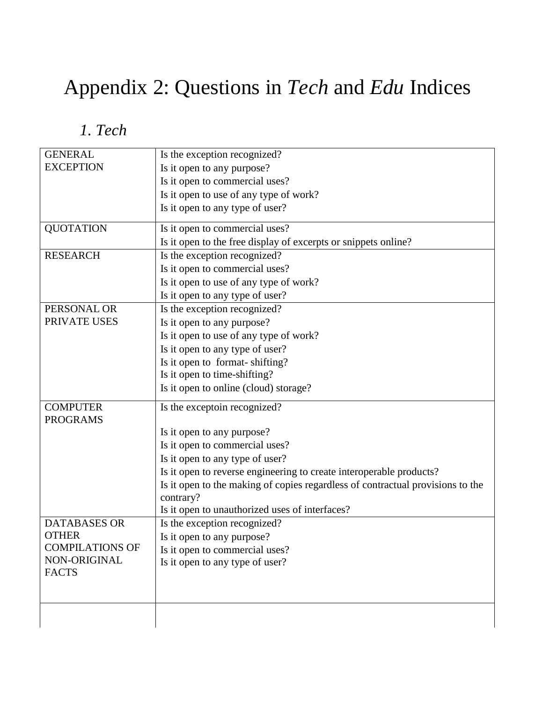## Appendix 2: Questions in *Tech* and *Edu* Indices

*1. Tech*

| <b>GENERAL</b>         | Is the exception recognized?                                                                |
|------------------------|---------------------------------------------------------------------------------------------|
| <b>EXCEPTION</b>       | Is it open to any purpose?                                                                  |
|                        | Is it open to commercial uses?                                                              |
|                        | Is it open to use of any type of work?                                                      |
|                        | Is it open to any type of user?                                                             |
| <b>QUOTATION</b>       | Is it open to commercial uses?                                                              |
|                        | Is it open to the free display of excerpts or snippets online?                              |
| <b>RESEARCH</b>        | Is the exception recognized?                                                                |
|                        | Is it open to commercial uses?                                                              |
|                        | Is it open to use of any type of work?                                                      |
|                        | Is it open to any type of user?                                                             |
| PERSONAL OR            | Is the exception recognized?                                                                |
| PRIVATE USES           | Is it open to any purpose?                                                                  |
|                        | Is it open to use of any type of work?                                                      |
|                        | Is it open to any type of user?                                                             |
|                        | Is it open to format-shifting?                                                              |
|                        | Is it open to time-shifting?                                                                |
|                        | Is it open to online (cloud) storage?                                                       |
| <b>COMPUTER</b>        | Is the exceptoin recognized?                                                                |
| <b>PROGRAMS</b>        |                                                                                             |
|                        | Is it open to any purpose?                                                                  |
|                        | Is it open to commercial uses?                                                              |
|                        | Is it open to any type of user?                                                             |
|                        | Is it open to reverse engineering to create interoperable products?                         |
|                        | Is it open to the making of copies regardless of contractual provisions to the<br>contrary? |
|                        | Is it open to unauthorized uses of interfaces?                                              |
| <b>DATABASES OR</b>    | Is the exception recognized?                                                                |
| <b>OTHER</b>           | Is it open to any purpose?                                                                  |
| <b>COMPILATIONS OF</b> | Is it open to commercial uses?                                                              |
| NON-ORIGINAL           | Is it open to any type of user?                                                             |
| <b>FACTS</b>           |                                                                                             |
|                        |                                                                                             |
|                        |                                                                                             |
|                        |                                                                                             |
|                        |                                                                                             |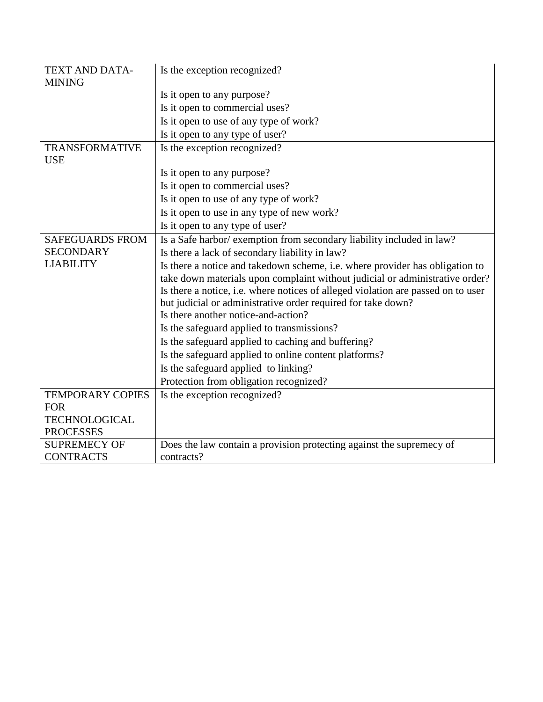| <b>TEXT AND DATA-</b><br><b>MINING</b> | Is the exception recognized?                                                                        |
|----------------------------------------|-----------------------------------------------------------------------------------------------------|
|                                        | Is it open to any purpose?                                                                          |
|                                        | Is it open to commercial uses?                                                                      |
|                                        | Is it open to use of any type of work?                                                              |
|                                        | Is it open to any type of user?                                                                     |
| TRANSFORMATIVE<br><b>USE</b>           | Is the exception recognized?                                                                        |
|                                        | Is it open to any purpose?                                                                          |
|                                        | Is it open to commercial uses?                                                                      |
|                                        | Is it open to use of any type of work?                                                              |
|                                        | Is it open to use in any type of new work?                                                          |
|                                        | Is it open to any type of user?                                                                     |
| <b>SAFEGUARDS FROM</b>                 | Is a Safe harbor/ exemption from secondary liability included in law?                               |
| <b>SECONDARY</b>                       | Is there a lack of secondary liability in law?                                                      |
| <b>LIABILITY</b>                       | Is there a notice and takedown scheme, i.e. where provider has obligation to                        |
|                                        | take down materials upon complaint without judicial or administrative order?                        |
|                                        | Is there a notice, i.e. where notices of alleged violation are passed on to user                    |
|                                        | but judicial or administrative order required for take down?<br>Is there another notice-and-action? |
|                                        | Is the safeguard applied to transmissions?                                                          |
|                                        | Is the safeguard applied to caching and buffering?                                                  |
|                                        | Is the safeguard applied to online content platforms?                                               |
|                                        | Is the safeguard applied to linking?                                                                |
|                                        | Protection from obligation recognized?                                                              |
| <b>TEMPORARY COPIES</b>                | Is the exception recognized?                                                                        |
| <b>FOR</b>                             |                                                                                                     |
| <b>TECHNOLOGICAL</b>                   |                                                                                                     |
| <b>PROCESSES</b>                       |                                                                                                     |
| <b>SUPREMECY OF</b>                    | Does the law contain a provision protecting against the supremecy of                                |
| <b>CONTRACTS</b>                       | contracts?                                                                                          |